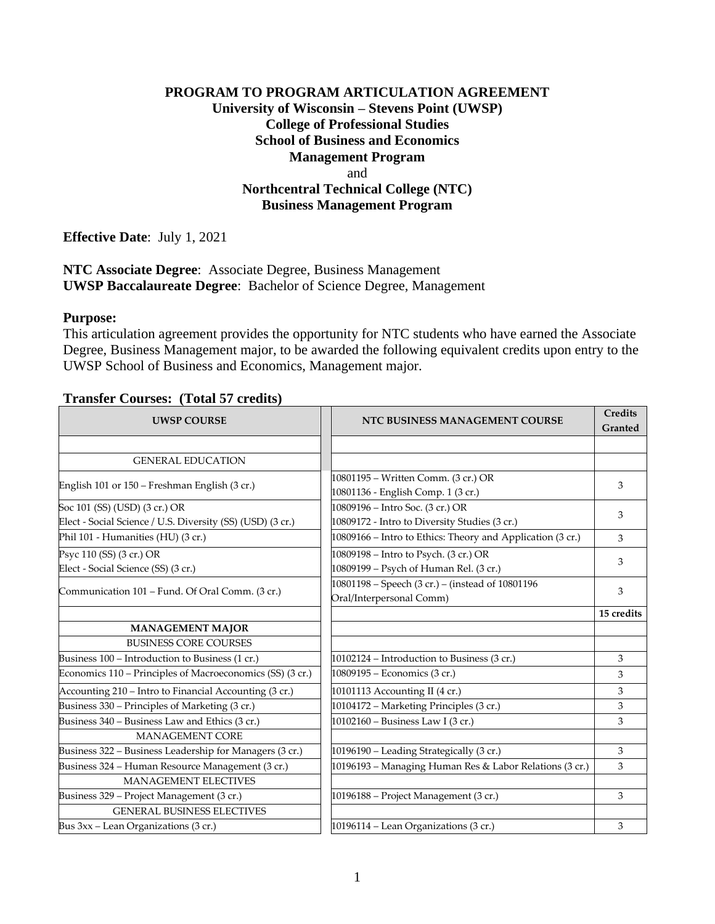## **PROGRAM TO PROGRAM ARTICULATION AGREEMENT University of Wisconsin – Stevens Point (UWSP) College of Professional Studies School of Business and Economics Management Program** and **Northcentral Technical College (NTC) Business Management Program**

**Effective Date**: July 1, 2021

**NTC Associate Degree**: Associate Degree, Business Management **UWSP Baccalaureate Degree**: Bachelor of Science Degree, Management

#### **Purpose:**

This articulation agreement provides the opportunity for NTC students who have earned the Associate Degree, Business Management major, to be awarded the following equivalent credits upon entry to the UWSP School of Business and Economics, Management major.

### **Transfer Courses: (Total 57 credits)**

| <b>UWSP COURSE</b>                                                              | NTC BUSINESS MANAGEMENT COURSE                                                  | <b>Credits</b><br>Granted |
|---------------------------------------------------------------------------------|---------------------------------------------------------------------------------|---------------------------|
|                                                                                 |                                                                                 |                           |
| <b>GENERAL EDUCATION</b>                                                        |                                                                                 |                           |
| English 101 or 150 – Freshman English (3 cr.)                                   | 10801195 - Written Comm. (3 cr.) OR<br>10801136 - English Comp. 1 (3 cr.)       | 3                         |
| Soc 101 (SS) (USD) (3 cr.) OR                                                   | 10809196 – Intro Soc. (3 cr.) OR                                                | 3                         |
| Elect - Social Science / U.S. Diversity (SS) (USD) (3 cr.)                      | 10809172 - Intro to Diversity Studies (3 cr.)                                   |                           |
| Phil 101 - Humanities (HU) (3 cr.)                                              | 10809166 – Intro to Ethics: Theory and Application (3 cr.)                      | 3                         |
| Psyc 110 (SS) (3 cr.) OR<br>Elect - Social Science (SS) (3 cr.)                 | 10809198 – Intro to Psych. (3 cr.) OR<br>10809199 - Psych of Human Rel. (3 cr.) | 3                         |
| Communication 101 - Fund. Of Oral Comm. (3 cr.)                                 | 10801198 - Speech (3 cr.) - (instead of 10801196<br>Oral/Interpersonal Comm)    | 3                         |
|                                                                                 |                                                                                 | 15 credits                |
| <b>MANAGEMENT MAJOR</b>                                                         |                                                                                 |                           |
| <b>BUSINESS CORE COURSES</b>                                                    |                                                                                 |                           |
| Business 100 - Introduction to Business (1 cr.)                                 | 10102124 - Introduction to Business (3 cr.)                                     | 3                         |
| Economics 110 - Principles of Macroeconomics (SS) (3 cr.)                       | 10809195 - Economics (3 cr.)                                                    | 3                         |
| Accounting 210 - Intro to Financial Accounting (3 cr.)                          | 10101113 Accounting II (4 cr.)                                                  | 3                         |
| Business 330 - Principles of Marketing (3 cr.)                                  | 10104172 - Marketing Principles (3 cr.)                                         | 3                         |
| Business 340 – Business Law and Ethics (3 cr.)                                  | 10102160 - Business Law I (3 cr.)                                               | 3                         |
| <b>MANAGEMENT CORE</b>                                                          |                                                                                 |                           |
| Business 322 - Business Leadership for Managers (3 cr.)                         | 10196190 - Leading Strategically (3 cr.)                                        | 3                         |
| Business 324 - Human Resource Management (3 cr.)<br><b>MANAGEMENT ELECTIVES</b> | 10196193 - Managing Human Res & Labor Relations (3 cr.)                         | 3                         |
| Business 329 - Project Management (3 cr.)                                       | 10196188 - Project Management (3 cr.)                                           | 3                         |
| <b>GENERAL BUSINESS ELECTIVES</b>                                               |                                                                                 |                           |
| Bus 3xx - Lean Organizations (3 cr.)                                            | 10196114 - Lean Organizations (3 cr.)                                           | 3                         |
|                                                                                 |                                                                                 |                           |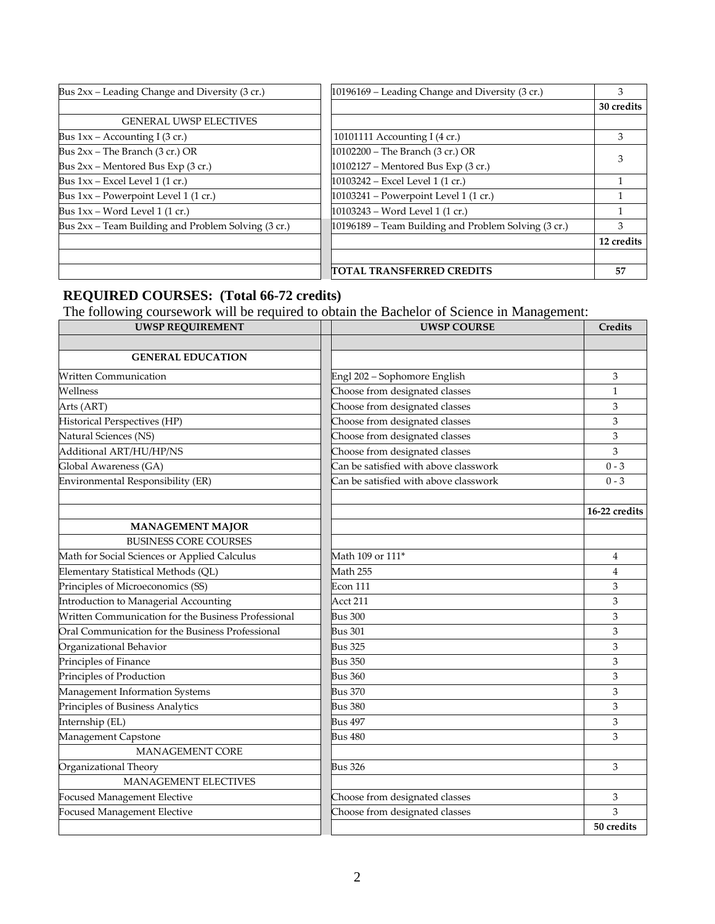| Bus 2xx - Leading Change and Diversity (3 cr.)      | 10196169 – Leading Change and Diversity (3 cr.)      | 3          |
|-----------------------------------------------------|------------------------------------------------------|------------|
|                                                     |                                                      | 30 credits |
| <b>GENERAL UWSP ELECTIVES</b>                       |                                                      |            |
| Bus $1xx -$ Accounting I (3 cr.)                    | 10101111 Accounting I (4 cr.)                        | 3          |
| Bus $2xx$ – The Branch (3 cr.) OR                   | 10102200 - The Branch (3 cr.) OR                     |            |
| Bus 2xx - Mentored Bus Exp (3 cr.)                  | 10102127 - Mentored Bus Exp (3 cr.)                  |            |
| Bus $1xx$ – Excel Level 1 (1 cr.)                   | 10103242 - Excel Level 1 (1 cr.)                     |            |
| Bus 1xx - Powerpoint Level 1 (1 cr.)                | 10103241 - Powerpoint Level 1 (1 cr.)                |            |
| Bus $1xx - Word Level 1 (1 cr.)$                    | 10103243 - Word Level 1 (1 cr.)                      |            |
| Bus 2xx - Team Building and Problem Solving (3 cr.) | 10196189 - Team Building and Problem Solving (3 cr.) | 3          |
|                                                     |                                                      | 12 credits |
|                                                     |                                                      |            |
|                                                     | TOTAL TRANSFERRED CREDITS                            | 57         |

# **REQUIRED COURSES: (Total 66-72 credits)**

The following coursework will be required to obtain the Bachelor of Science in Management:

| <b>UWSP REQUIREMENT</b>                             | <b>UWSP COURSE</b>                    | Credits        |
|-----------------------------------------------------|---------------------------------------|----------------|
|                                                     |                                       |                |
| <b>GENERAL EDUCATION</b>                            |                                       |                |
| <b>Written Communication</b>                        | Engl 202 - Sophomore English          | 3              |
| Wellness                                            | Choose from designated classes        | $\mathbf{1}$   |
| Arts (ART)                                          | Choose from designated classes        | 3              |
| Historical Perspectives (HP)                        | Choose from designated classes        | 3              |
| Natural Sciences (NS)                               | Choose from designated classes        | 3              |
| Additional ART/HU/HP/NS                             | Choose from designated classes        | 3              |
| Global Awareness (GA)                               | Can be satisfied with above classwork | $0 - 3$        |
| Environmental Responsibility (ER)                   | Can be satisfied with above classwork | $0 - 3$        |
|                                                     |                                       | 16-22 credits  |
| <b>MANAGEMENT MAJOR</b>                             |                                       |                |
| <b>BUSINESS CORE COURSES</b>                        |                                       |                |
| Math for Social Sciences or Applied Calculus        | Math 109 or 111*                      | $\overline{4}$ |
| Elementary Statistical Methods (QL)                 | Math 255                              | 4              |
| Principles of Microeconomics (SS)                   | Econ 111                              | 3              |
| Introduction to Managerial Accounting               | Acct 211                              | 3              |
| Written Communication for the Business Professional | <b>Bus 300</b>                        | 3              |
| Oral Communication for the Business Professional    | <b>Bus 301</b>                        | 3              |
| Organizational Behavior                             | <b>Bus 325</b>                        | 3              |
| Principles of Finance                               | <b>Bus 350</b>                        | 3              |
| Principles of Production                            | <b>Bus 360</b>                        | 3              |
| Management Information Systems                      | <b>Bus 370</b>                        | 3              |
| Principles of Business Analytics                    | <b>Bus 380</b>                        | 3              |
| Internship (EL)                                     | <b>Bus 497</b>                        | 3              |
| Management Capstone                                 | <b>Bus 480</b>                        | 3              |
| MANAGEMENT CORE                                     |                                       |                |
| Organizational Theory                               | <b>Bus 326</b>                        | 3              |
| <b>MANAGEMENT ELECTIVES</b>                         |                                       |                |
| Focused Management Elective                         | Choose from designated classes        | 3              |
| Focused Management Elective                         | Choose from designated classes        | 3              |
|                                                     |                                       | 50 credits     |